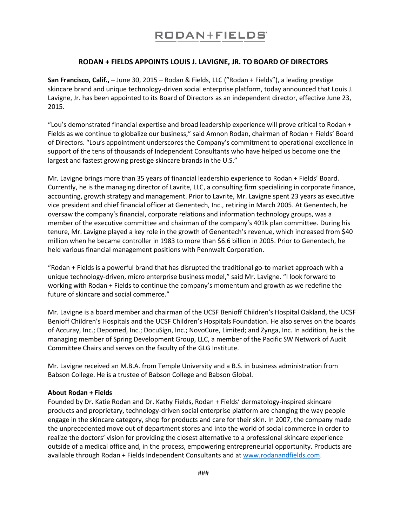## RODAN+FIELDS®

## **RODAN + FIELDS APPOINTS LOUIS J. LAVIGNE, JR. TO BOARD OF DIRECTORS**

**San Francisco, Calif., –** June 30, 2015 – Rodan & Fields, LLC ("Rodan + Fields"), a leading prestige skincare brand and unique technology-driven social enterprise platform, today announced that Louis J. Lavigne, Jr. has been appointed to its Board of Directors as an independent director, effective June 23, 2015.

"Lou's demonstrated financial expertise and broad leadership experience will prove critical to Rodan + Fields as we continue to globalize our business," said Amnon Rodan, chairman of Rodan + Fields' Board of Directors. "Lou's appointment underscores the Company's commitment to operational excellence in support of the tens of thousands of Independent Consultants who have helped us become one the largest and fastest growing prestige skincare brands in the U.S."

Mr. Lavigne brings more than 35 years of financial leadership experience to Rodan + Fields' Board. Currently, he is the managing director of Lavrite, LLC, a consulting firm specializing in corporate finance, accounting, growth strategy and management. Prior to Lavrite, Mr. Lavigne spent 23 years as executive vice president and chief financial officer at Genentech, Inc., retiring in March 2005. At Genentech, he oversaw the company's financial, corporate relations and information technology groups, was a member of the executive committee and chairman of the company's 401k plan committee. During his tenure, Mr. Lavigne played a key role in the growth of Genentech's revenue, which increased from \$40 million when he became controller in 1983 to more than \$6.6 billion in 2005. Prior to Genentech, he held various financial management positions with Pennwalt Corporation.

"Rodan + Fields is a powerful brand that has disrupted the traditional go-to market approach with a unique technology-driven, micro enterprise business model," said Mr. Lavigne. "I look forward to working with Rodan + Fields to continue the company's momentum and growth as we redefine the future of skincare and social commerce."

Mr. Lavigne is a board member and chairman of the UCSF Benioff Children's Hospital Oakland, the UCSF Benioff Children's Hospitals and the UCSF Children's Hospitals Foundation. He also serves on the boards of Accuray, Inc.; Depomed, Inc.; DocuSign, Inc.; NovoCure, Limited; and Zynga, Inc. In addition, he is the managing member of Spring Development Group, LLC, a member of the Pacific SW Network of Audit Committee Chairs and serves on the faculty of the GLG Institute.

Mr. Lavigne received an M.B.A. from Temple University and a B.S. in business administration from Babson College. He is a trustee of Babson College and Babson Global.

## **About Rodan + Fields**

Founded by Dr. Katie Rodan and Dr. Kathy Fields, Rodan + Fields' dermatology-inspired skincare products and proprietary, technology-driven social enterprise platform are changing the way people engage in the skincare category, shop for products and care for their skin. In 2007, the company made the unprecedented move out of department stores and into the world of social commerce in order to realize the doctors' vision for providing the closest alternative to a professional skincare experience outside of a medical office and, in the process, empowering entrepreneurial opportunity. Products are available through Rodan + Fields Independent Consultants and a[t www.rodanandfields.com.](http://www.rodanandfields.com/)